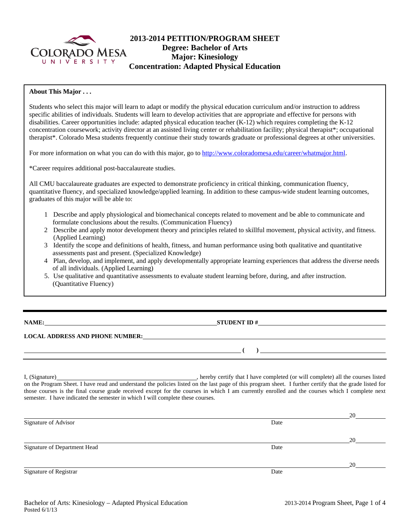

# **2013-2014 PETITION/PROGRAM SHEET Degree: Bachelor of Arts Major: Kinesiology Concentration: Adapted Physical Education**

# **About This Major . . .**

Students who select this major will learn to adapt or modify the physical education curriculum and/or instruction to address specific abilities of individuals. Students will learn to develop activities that are appropriate and effective for persons with disabilities. Career opportunities include: adapted physical education teacher (K-12) which requires completing the K-12 concentration coursework; activity director at an assisted living center or rehabilitation facility; physical therapist\*; occupational therapist\*. Colorado Mesa students frequently continue their study towards graduate or professional degrees at other universities.

For more information on what you can do with this major, go to http://www.coloradomesa.edu/career/whatmajor.html.

\*Career requires additional post-baccalaureate studies.

All CMU baccalaureate graduates are expected to demonstrate proficiency in critical thinking, communication fluency, quantitative fluency, and specialized knowledge/applied learning. In addition to these campus-wide student learning outcomes, graduates of this major will be able to:

- 1 Describe and apply physiological and biomechanical concepts related to movement and be able to communicate and formulate conclusions about the results. (Communication Fluency)
- 2 Describe and apply motor development theory and principles related to skillful movement, physical activity, and fitness. (Applied Learning)
- 3 Identify the scope and definitions of health, fitness, and human performance using both qualitative and quantitative assessments past and present. (Specialized Knowledge)
- 4 Plan, develop, and implement, and apply developmentally appropriate learning experiences that address the diverse needs of all individuals. (Applied Learning)
- 5. Use qualitative and quantitative assessments to evaluate student learning before, during, and after instruction. (Quantitative Fluency)

|  | NAME<br>٠ |  |
|--|-----------|--|
|  |           |  |

**STUDENT ID #** 

 $($   $)$   $)$   $\frac{$   $($   $)$   $\frac{1}{2}$   $($   $)$   $\frac{1}{2}$   $($   $)$   $\frac{1}{2}$   $($   $)$   $\frac{1}{2}$   $($   $)$   $\frac{1}{2}$   $($   $)$   $\frac{1}{2}$   $($   $)$   $\frac{1}{2}$   $($   $)$   $\frac{1}{2}$   $($   $)$   $\frac{1}{2}$   $($   $)$   $\frac{1}{2}$   $($   $)$   $\frac{1}{2}$   $($ 

# **LOCAL ADDRESS AND PHONE NUMBER:**

I, (Signature) , hereby certify that I have completed (or will complete) all the courses listed on the Program Sheet. I have read and understand the policies listed on the last page of this program sheet. I further certify that the grade listed for those courses is the final course grade received except for the courses in which I am currently enrolled and the courses which I complete next semester. I have indicated the semester in which I will complete these courses.

|                              |      | 20 |
|------------------------------|------|----|
| Signature of Advisor         | Date |    |
|                              |      | 20 |
| Signature of Department Head | Date |    |
|                              |      | 20 |
| Signature of Registrar       | Date |    |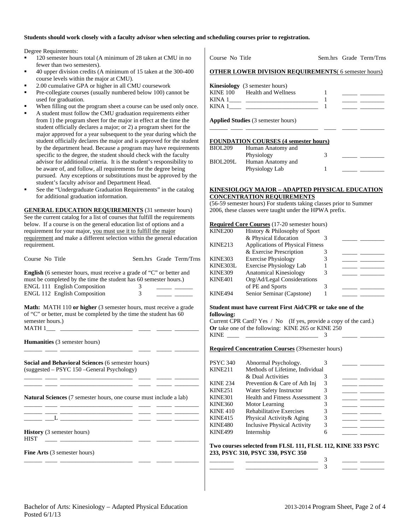#### **Students should work closely with a faculty advisor when selecting and scheduling courses prior to registration.**

Degree Requirements:

- 120 semester hours total (A minimum of 28 taken at CMU in no fewer than two semesters).
- 40 upper division credits (A minimum of 15 taken at the 300-400 course levels within the major at CMU).
- 2.00 cumulative GPA or higher in all CMU coursework
- Pre-collegiate courses (usually numbered below 100) cannot be used for graduation.
- When filling out the program sheet a course can be used only once.
- A student must follow the CMU graduation requirements either from 1) the program sheet for the major in effect at the time the student officially declares a major; or 2) a program sheet for the major approved for a year subsequent to the year during which the student officially declares the major and is approved for the student by the department head. Because a program may have requirements specific to the degree, the student should check with the faculty advisor for additional criteria. It is the student's responsibility to be aware of, and follow, all requirements for the degree being pursued. Any exceptions or substitutions must be approved by the student's faculty advisor and Department Head.
- See the "Undergraduate Graduation Requirements" in the catalog for additional graduation information.

**GENERAL EDUCATION REQUIREMENTS** (31 semester hours) See the current catalog for a list of courses that fulfill the requirements below. If a course is on the general education list of options and a requirement for your major, you must use it to fulfill the major requirement and make a different selection within the general education requirement.

| Course No Title                                                                                                                                                                         |   | Sem.hrs Grade Term/Trns |
|-----------------------------------------------------------------------------------------------------------------------------------------------------------------------------------------|---|-------------------------|
| <b>English</b> (6 semester hours, must receive a grade of "C" or better and<br>must be completed by the time the student has 60 semester hours.)<br><b>ENGL 111 English Composition</b> | 3 |                         |
| <b>ENGL 112 English Composition</b>                                                                                                                                                     | 3 |                         |
| <b>Math:</b> MATH 110 or higher (3 semester hours, must receive a grade<br>of "C" or better, must be completed by the time the student has 60<br>semester hours.)<br>MATH 1             |   |                         |
| <b>Humanities</b> (3 semester hours)                                                                                                                                                    |   |                         |

\_\_\_\_\_\_ \_\_\_\_ \_\_\_\_\_\_\_\_\_\_\_\_\_\_\_\_\_\_\_\_\_\_\_\_ \_\_\_\_ \_\_\_\_\_ \_\_\_\_\_\_\_\_

\_\_\_\_\_\_ \_\_\_\_ \_\_\_\_\_\_\_\_\_\_\_\_\_\_\_\_\_\_\_\_\_\_\_\_ \_\_\_\_ \_\_\_\_\_ \_\_\_\_\_\_\_\_ \_\_\_\_\_\_ \_\_\_\_ \_\_\_\_\_\_\_\_\_\_\_\_\_\_\_\_\_\_\_\_\_\_\_\_ \_\_\_\_ \_\_\_\_\_ \_\_\_\_\_\_\_\_

\_\_\_\_\_\_ \_\_\_\_ \_\_\_\_\_\_\_\_\_\_\_\_\_\_\_\_\_\_\_\_\_\_\_\_ \_\_\_\_ \_\_\_\_\_ \_\_\_\_\_\_\_\_ \_\_\_\_\_\_ \_\_\_\_ \_\_\_\_\_\_\_\_\_\_\_\_\_\_\_\_\_\_\_\_\_\_\_\_ \_\_\_\_ \_\_\_\_\_ \_\_\_\_\_\_\_\_

\_\_\_\_\_\_ \_\_\_\_ \_\_\_\_\_\_\_\_\_\_\_\_\_\_\_\_\_\_\_\_\_\_\_\_ \_\_\_\_ \_\_\_\_\_ \_\_\_\_\_\_\_\_

**Social and Behavioral Sciences** (6 semester hours) (suggested – PSYC 150 –General Psychology)

**Natural Sciences** (7 semester hours, one course must include a lab)

 $\_\_$   $\_\_$ 

**History** (3 semester hours)  $HIST \tightharpoonup \tightharpoonup$ 

**Fine Arts** (3 semester hours)

| $\sim$ 0.000 $\sim$ 0.000 $\sim$ 0.000 $\sim$              |  | D |
|------------------------------------------------------------|--|---|
| <b>OTHER LOWER DIVISION REOUIREMENTS(6 semester hours)</b> |  |   |
| <b>Kinesiology</b> (3 semester hours)                      |  |   |

Course No Title Sem.hrs Grade Term/Trns

|          | $\sum$              |  |  |
|----------|---------------------|--|--|
| KINE 100 | Health and Wellness |  |  |
| KINA 1   |                     |  |  |
| KINA 1   |                     |  |  |
|          |                     |  |  |

\_\_\_\_\_\_ \_\_\_\_ \_\_\_\_\_\_\_\_\_\_\_\_\_\_\_\_\_\_\_\_\_\_\_\_ \_\_\_\_ \_\_\_\_\_ \_\_\_\_\_\_\_\_

**Applied Studies** (3 semester hours)

## **FOUNDATION COURSES (4 semester hours)**

| <b>BIOL209</b> | Human Anatomy and |  |
|----------------|-------------------|--|
|                | Physiology        |  |
| BIOL209L       | Human Anatomy and |  |
|                | Physiology Lab    |  |
|                |                   |  |

### **KINESIOLOGY MAJOR – ADAPTED PHYSICAL EDUCATION CONCENTRATION REQUIREMENTS**

(56-59 semester hours) For students taking classes prior to Summer 2006, these classes were taught under the HPWA prefix.

### **Required Core Courses** (17-20 semester hours)

| KINE200        | History & Philosophy of Sport           |  |  |
|----------------|-----------------------------------------|--|--|
|                | & Physical Education                    |  |  |
| KINE213        | <b>Applications of Physical Fitness</b> |  |  |
|                | & Exercise Prescription                 |  |  |
| KINE303        | <b>Exercise Physiology</b>              |  |  |
| KINE303L       | <b>Exercise Physiology Lab</b>          |  |  |
| <b>KINE309</b> | <b>Anatomical Kinesiology</b>           |  |  |
| KINE401        | Org/Ad/Legal Considerations             |  |  |
|                | of PE and Sports                        |  |  |
| KINE494        | Senior Seminar (Capstone)               |  |  |

#### **Student must have current First Aid/CPR or take one of the following:**

Current CPR Card? Yes / No (If yes, provide a copy of the card.) **Or** take one of the following: KINE 265 or KINE 250 KINE  $\frac{3}{2}$ 

#### **Required Concentration Courses** (39semester hours)

| PSYC 340        | Abnormal Psychology.               |  |
|-----------------|------------------------------------|--|
| KINE211         | Methods of Lifetime, Individual    |  |
|                 | & Dual Activities                  |  |
| <b>KINE 234</b> | Prevention & Care of Ath Inj       |  |
| <b>KINE251</b>  | Water Safety Instructor            |  |
| KINE301         | Health and Fitness Assessment 3    |  |
| KINE360         | Motor Learning                     |  |
| <b>KINE 410</b> | <b>Rehabilitative Exercises</b>    |  |
| KINE415         | Physical Activity & Aging          |  |
| KINE480         | <b>Inclusive Physical Activity</b> |  |
| KINE499         | Internship                         |  |
|                 |                                    |  |

#### **Two courses selected from FLSL 111, FLSL 112, KINE 333 PSYC 233, PSYC 310, PSYC 330, PSYC 350**  \_\_\_\_\_\_\_\_ \_\_\_\_\_\_\_\_\_\_\_\_\_\_\_\_\_\_\_\_\_\_\_\_ 3 \_\_\_\_\_ \_\_\_\_\_\_\_\_

\_\_\_\_\_\_\_\_ \_\_\_\_\_\_\_\_\_\_\_\_\_\_\_\_\_\_\_\_\_\_\_\_ 3 \_\_\_\_\_ \_\_\_\_\_\_\_\_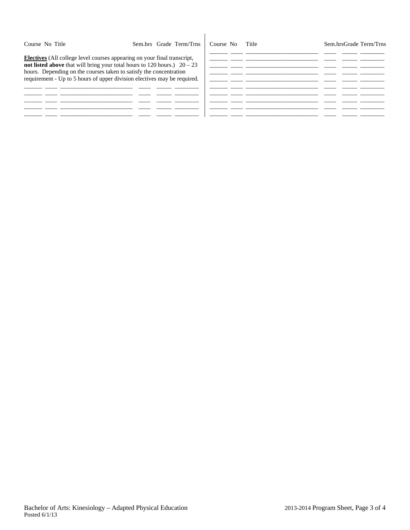| Course No Title                                                                                                                                                                                                                                                                                                 | Sem.hrs Grade Term/Trns | Title<br>Course No | Sem.hrsGrade Term/Trns |
|-----------------------------------------------------------------------------------------------------------------------------------------------------------------------------------------------------------------------------------------------------------------------------------------------------------------|-------------------------|--------------------|------------------------|
| <b>Electives</b> (All college level courses appearing on your final transcript,<br>not listed above that will bring your total hours to 120 hours.) $20 - 23$<br>hours. Depending on the courses taken to satisfy the concentration<br>requirement - Up to 5 hours of upper division electives may be required. |                         |                    |                        |
|                                                                                                                                                                                                                                                                                                                 |                         |                    |                        |